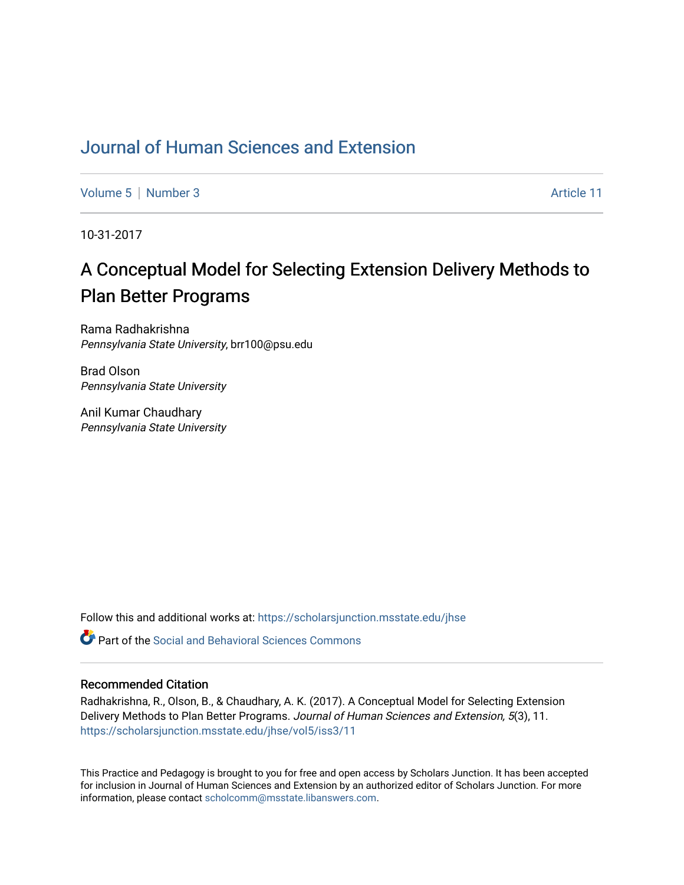## [Journal of Human Sciences and Extension](https://scholarsjunction.msstate.edu/jhse)

[Volume 5](https://scholarsjunction.msstate.edu/jhse/vol5) | [Number 3](https://scholarsjunction.msstate.edu/jhse/vol5/iss3) Article 11

10-31-2017

# A Conceptual Model for Selecting Extension Delivery Methods to Plan Better Programs

Rama Radhakrishna Pennsylvania State University, brr100@psu.edu

Brad Olson Pennsylvania State University

Anil Kumar Chaudhary Pennsylvania State University

Follow this and additional works at: [https://scholarsjunction.msstate.edu/jhse](https://scholarsjunction.msstate.edu/jhse?utm_source=scholarsjunction.msstate.edu%2Fjhse%2Fvol5%2Fiss3%2F11&utm_medium=PDF&utm_campaign=PDFCoverPages)

 $\bullet$  Part of the Social and Behavioral Sciences Commons

#### Recommended Citation

Radhakrishna, R., Olson, B., & Chaudhary, A. K. (2017). A Conceptual Model for Selecting Extension Delivery Methods to Plan Better Programs. Journal of Human Sciences and Extension, 5(3), 11. [https://scholarsjunction.msstate.edu/jhse/vol5/iss3/11](https://scholarsjunction.msstate.edu/jhse/vol5/iss3/11?utm_source=scholarsjunction.msstate.edu%2Fjhse%2Fvol5%2Fiss3%2F11&utm_medium=PDF&utm_campaign=PDFCoverPages) 

This Practice and Pedagogy is brought to you for free and open access by Scholars Junction. It has been accepted for inclusion in Journal of Human Sciences and Extension by an authorized editor of Scholars Junction. For more information, please contact [scholcomm@msstate.libanswers.com](mailto:scholcomm@msstate.libanswers.com).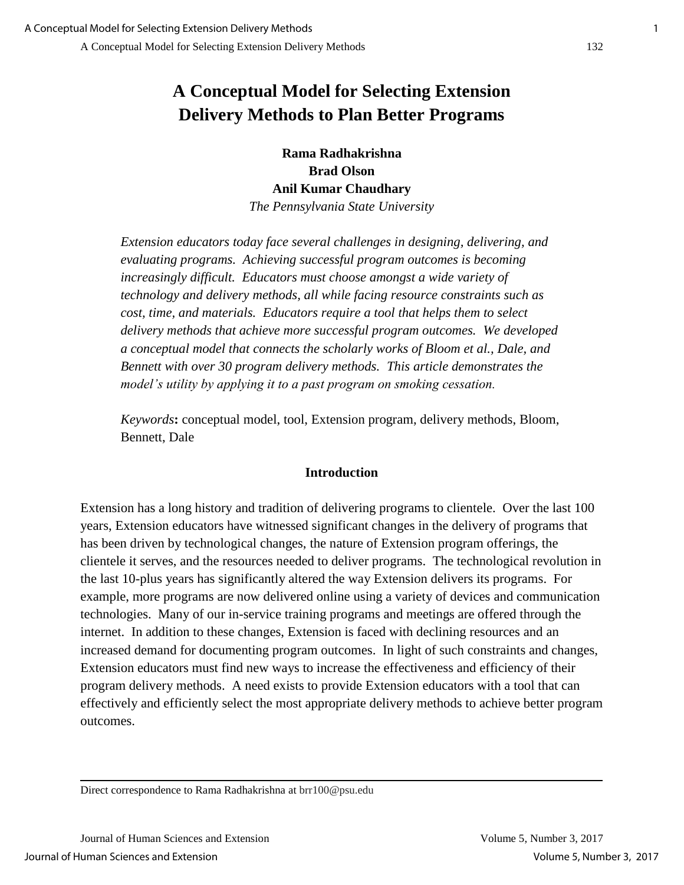## **A Conceptual Model for Selecting Extension Delivery Methods to Plan Better Programs**

**Rama Radhakrishna Brad Olson Anil Kumar Chaudhary**

*The Pennsylvania State University*

*Extension educators today face several challenges in designing, delivering, and evaluating programs. Achieving successful program outcomes is becoming increasingly difficult. Educators must choose amongst a wide variety of technology and delivery methods, all while facing resource constraints such as cost, time, and materials. Educators require a tool that helps them to select delivery methods that achieve more successful program outcomes. We developed a conceptual model that connects the scholarly works of Bloom et al., Dale, and Bennett with over 30 program delivery methods. This article demonstrates the model's utility by applying it to a past program on smoking cessation.*

*Keywords***:** conceptual model, tool, Extension program, delivery methods, Bloom, Bennett, Dale

## **Introduction**

Extension has a long history and tradition of delivering programs to clientele. Over the last 100 years, Extension educators have witnessed significant changes in the delivery of programs that has been driven by technological changes, the nature of Extension program offerings, the clientele it serves, and the resources needed to deliver programs. The technological revolution in the last 10-plus years has significantly altered the way Extension delivers its programs. For example, more programs are now delivered online using a variety of devices and communication technologies. Many of our in-service training programs and meetings are offered through the internet. In addition to these changes, Extension is faced with declining resources and an increased demand for documenting program outcomes. In light of such constraints and changes, Extension educators must find new ways to increase the effectiveness and efficiency of their program delivery methods. A need exists to provide Extension educators with a tool that can effectively and efficiently select the most appropriate delivery methods to achieve better program outcomes.

Direct correspondence to Rama Radhakrishna at brr100@psu.edu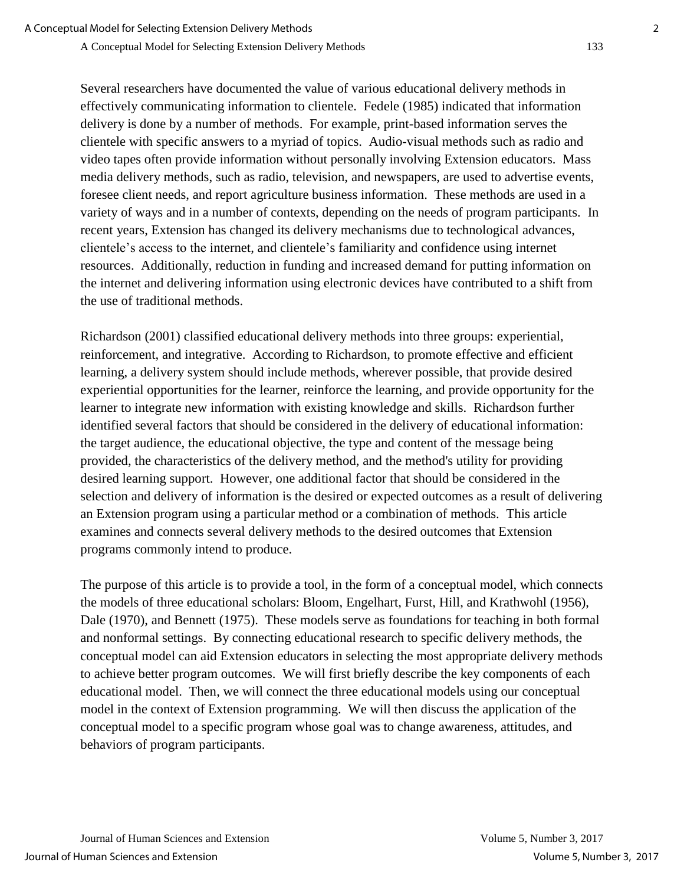Several researchers have documented the value of various educational delivery methods in effectively communicating information to clientele. Fedele (1985) indicated that information delivery is done by a number of methods. For example, print-based information serves the clientele with specific answers to a myriad of topics. Audio-visual methods such as radio and video tapes often provide information without personally involving Extension educators. Mass media delivery methods, such as radio, television, and newspapers, are used to advertise events, foresee client needs, and report agriculture business information. These methods are used in a variety of ways and in a number of contexts, depending on the needs of program participants. In recent years, Extension has changed its delivery mechanisms due to technological advances, clientele's access to the internet, and clientele's familiarity and confidence using internet resources. Additionally, reduction in funding and increased demand for putting information on the internet and delivering information using electronic devices have contributed to a shift from the use of traditional methods.

Richardson (2001) classified educational delivery methods into three groups: experiential, reinforcement, and integrative. According to Richardson, to promote effective and efficient learning, a delivery system should include methods, wherever possible, that provide desired experiential opportunities for the learner, reinforce the learning, and provide opportunity for the learner to integrate new information with existing knowledge and skills. Richardson further identified several factors that should be considered in the delivery of educational information: the target audience, the educational objective, the type and content of the message being provided, the characteristics of the delivery method, and the method's utility for providing desired learning support. However, one additional factor that should be considered in the selection and delivery of information is the desired or expected outcomes as a result of delivering an Extension program using a particular method or a combination of methods. This article examines and connects several delivery methods to the desired outcomes that Extension programs commonly intend to produce.

The purpose of this article is to provide a tool, in the form of a conceptual model, which connects the models of three educational scholars: Bloom, Engelhart, Furst, Hill, and Krathwohl (1956), Dale (1970), and Bennett (1975). These models serve as foundations for teaching in both formal and nonformal settings. By connecting educational research to specific delivery methods, the conceptual model can aid Extension educators in selecting the most appropriate delivery methods to achieve better program outcomes. We will first briefly describe the key components of each educational model. Then, we will connect the three educational models using our conceptual model in the context of Extension programming. We will then discuss the application of the conceptual model to a specific program whose goal was to change awareness, attitudes, and behaviors of program participants.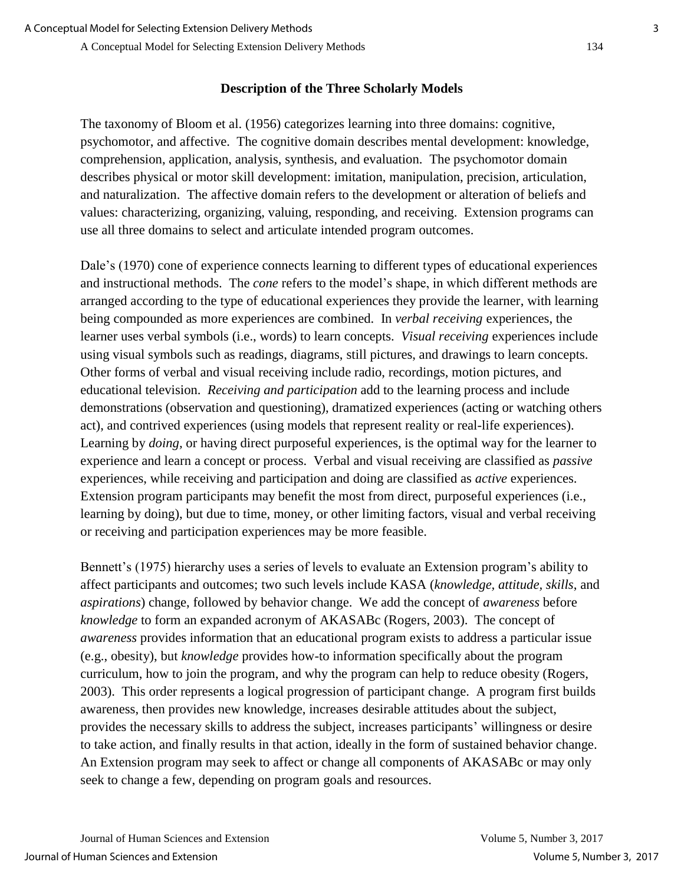#### **Description of the Three Scholarly Models**

The taxonomy of Bloom et al. (1956) categorizes learning into three domains: cognitive, psychomotor, and affective. The cognitive domain describes mental development: knowledge, comprehension, application, analysis, synthesis, and evaluation. The psychomotor domain describes physical or motor skill development: imitation, manipulation, precision, articulation, and naturalization. The affective domain refers to the development or alteration of beliefs and values: characterizing, organizing, valuing, responding, and receiving. Extension programs can use all three domains to select and articulate intended program outcomes.

Dale's (1970) cone of experience connects learning to different types of educational experiences and instructional methods. The *cone* refers to the model's shape, in which different methods are arranged according to the type of educational experiences they provide the learner, with learning being compounded as more experiences are combined. In *verbal receiving* experiences, the learner uses verbal symbols (i.e., words) to learn concepts. *Visual receiving* experiences include using visual symbols such as readings, diagrams, still pictures, and drawings to learn concepts. Other forms of verbal and visual receiving include radio, recordings, motion pictures, and educational television. *Receiving and participation* add to the learning process and include demonstrations (observation and questioning), dramatized experiences (acting or watching others act), and contrived experiences (using models that represent reality or real-life experiences). Learning by *doing,* or having direct purposeful experiences, is the optimal way for the learner to experience and learn a concept or process. Verbal and visual receiving are classified as *passive*  experiences, while receiving and participation and doing are classified as *active* experiences. Extension program participants may benefit the most from direct, purposeful experiences (i.e., learning by doing), but due to time, money, or other limiting factors, visual and verbal receiving or receiving and participation experiences may be more feasible.

Bennett's (1975) hierarchy uses a series of levels to evaluate an Extension program's ability to affect participants and outcomes; two such levels include KASA (*knowledge, attitude, skills*, and *aspirations*) change, followed by behavior change. We add the concept of *awareness* before *knowledge* to form an expanded acronym of AKASABc (Rogers, 2003). The concept of *awareness* provides information that an educational program exists to address a particular issue (e.g., obesity), but *knowledge* provides how-to information specifically about the program curriculum, how to join the program, and why the program can help to reduce obesity (Rogers, 2003). This order represents a logical progression of participant change. A program first builds awareness, then provides new knowledge, increases desirable attitudes about the subject, provides the necessary skills to address the subject, increases participants' willingness or desire to take action, and finally results in that action, ideally in the form of sustained behavior change. An Extension program may seek to affect or change all components of AKASABc or may only seek to change a few, depending on program goals and resources.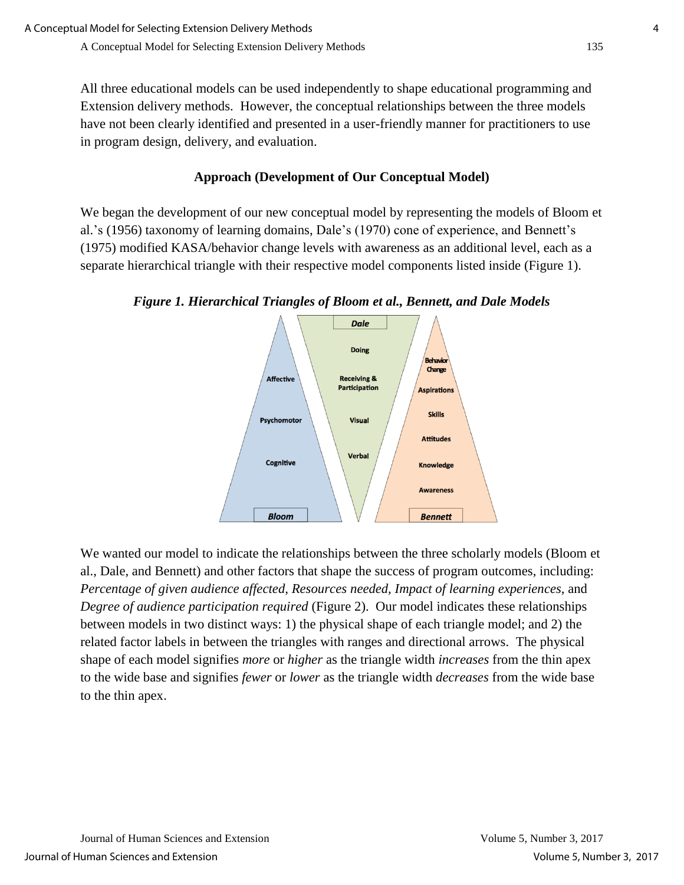All three educational models can be used independently to shape educational programming and Extension delivery methods. However, the conceptual relationships between the three models have not been clearly identified and presented in a user-friendly manner for practitioners to use in program design, delivery, and evaluation.

### **Approach (Development of Our Conceptual Model)**

We began the development of our new conceptual model by representing the models of Bloom et al.'s (1956) taxonomy of learning domains, Dale's (1970) cone of experience, and Bennett's (1975) modified KASA/behavior change levels with awareness as an additional level, each as a separate hierarchical triangle with their respective model components listed inside (Figure 1).

*Figure 1. Hierarchical Triangles of Bloom et al., Bennett, and Dale Models*



We wanted our model to indicate the relationships between the three scholarly models (Bloom et al., Dale, and Bennett) and other factors that shape the success of program outcomes, including: *Percentage of given audience affected, Resources needed, Impact of learning experiences,* and *Degree of audience participation required* (Figure 2). Our model indicates these relationships between models in two distinct ways: 1) the physical shape of each triangle model; and 2) the related factor labels in between the triangles with ranges and directional arrows. The physical shape of each model signifies *more* or *higher* as the triangle width *increases* from the thin apex to the wide base and signifies *fewer* or *lower* as the triangle width *decreases* from the wide base to the thin apex.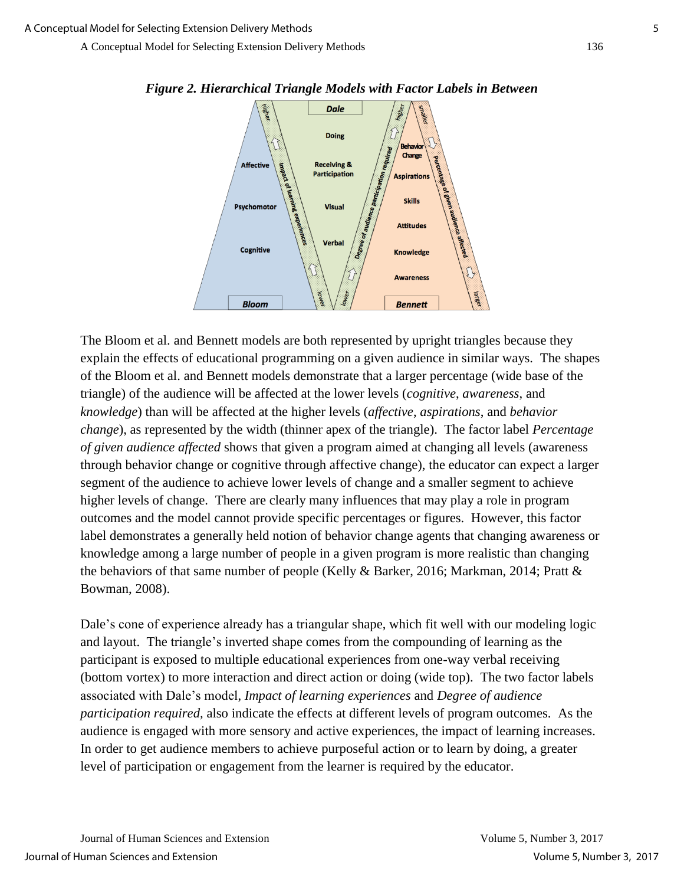

The Bloom et al. and Bennett models are both represented by upright triangles because they explain the effects of educational programming on a given audience in similar ways. The shapes of the Bloom et al. and Bennett models demonstrate that a larger percentage (wide base of the triangle) of the audience will be affected at the lower levels (*cognitive*, *awareness*, and *knowledge*) than will be affected at the higher levels (*affective*, *aspirations*, and *behavior change*), as represented by the width (thinner apex of the triangle). The factor label *Percentage of given audience affected* shows that given a program aimed at changing all levels (awareness through behavior change or cognitive through affective change), the educator can expect a larger segment of the audience to achieve lower levels of change and a smaller segment to achieve higher levels of change. There are clearly many influences that may play a role in program outcomes and the model cannot provide specific percentages or figures. However, this factor label demonstrates a generally held notion of behavior change agents that changing awareness or knowledge among a large number of people in a given program is more realistic than changing the behaviors of that same number of people (Kelly & Barker, 2016; Markman, 2014; Pratt & Bowman, 2008).

Dale's cone of experience already has a triangular shape, which fit well with our modeling logic and layout. The triangle's inverted shape comes from the compounding of learning as the participant is exposed to multiple educational experiences from one-way verbal receiving (bottom vortex) to more interaction and direct action or doing (wide top). The two factor labels associated with Dale's model, *Impact of learning experiences* and *Degree of audience participation required,* also indicate the effects at different levels of program outcomes. As the audience is engaged with more sensory and active experiences, the impact of learning increases. In order to get audience members to achieve purposeful action or to learn by doing, a greater level of participation or engagement from the learner is required by the educator.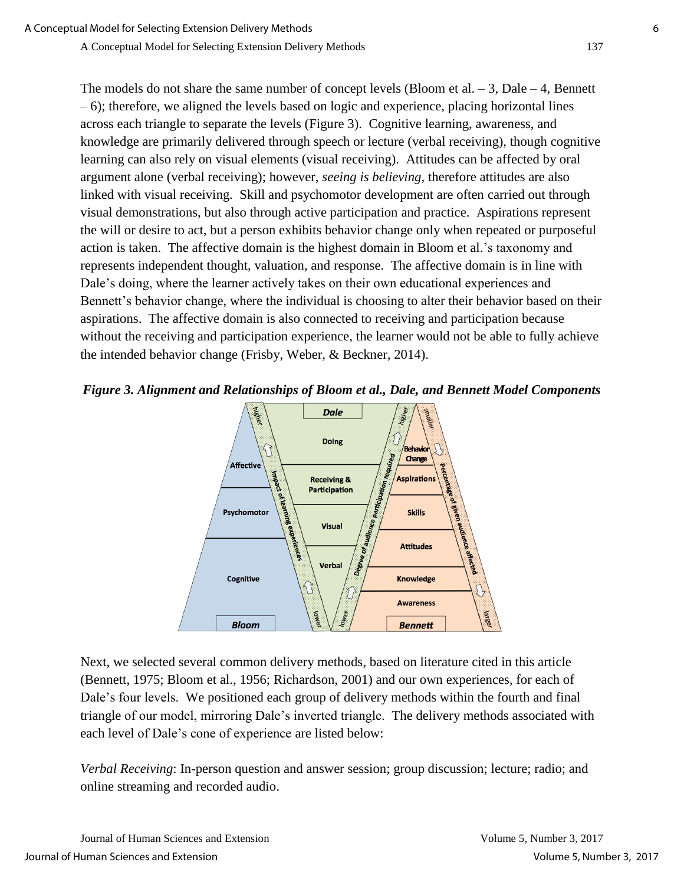The models do not share the same number of concept levels (Bloom et al.  $-3$ , Dale  $-4$ , Bennett – 6); therefore, we aligned the levels based on logic and experience, placing horizontal lines across each triangle to separate the levels (Figure 3). Cognitive learning, awareness, and knowledge are primarily delivered through speech or lecture (verbal receiving), though cognitive learning can also rely on visual elements (visual receiving). Attitudes can be affected by oral argument alone (verbal receiving); however, *seeing is believing*, therefore attitudes are also linked with visual receiving. Skill and psychomotor development are often carried out through visual demonstrations, but also through active participation and practice. Aspirations represent the will or desire to act, but a person exhibits behavior change only when repeated or purposeful action is taken. The affective domain is the highest domain in Bloom et al.'s taxonomy and represents independent thought, valuation, and response. The affective domain is in line with Dale's doing, where the learner actively takes on their own educational experiences and Bennett's behavior change, where the individual is choosing to alter their behavior based on their aspirations. The affective domain is also connected to receiving and participation because without the receiving and participation experience, the learner would not be able to fully achieve the intended behavior change (Frisby, Weber, & Beckner, 2014).





Next, we selected several common delivery methods, based on literature cited in this article (Bennett, 1975; Bloom et al., 1956; Richardson, 2001) and our own experiences, for each of Dale's four levels. We positioned each group of delivery methods within the fourth and final triangle of our model, mirroring Dale's inverted triangle. The delivery methods associated with each level of Dale's cone of experience are listed below:

*Verbal Receiving*: In-person question and answer session; group discussion; lecture; radio; and online streaming and recorded audio.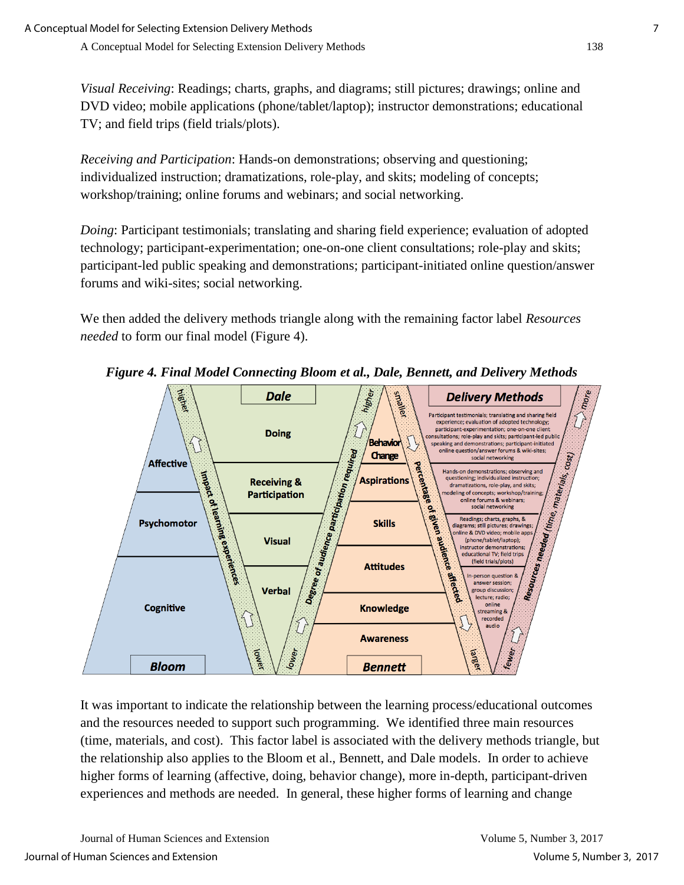*Visual Receiving*: Readings; charts, graphs, and diagrams; still pictures; drawings; online and DVD video; mobile applications (phone/tablet/laptop); instructor demonstrations; educational TV; and field trips (field trials/plots).

*Receiving and Participation*: Hands-on demonstrations; observing and questioning; individualized instruction; dramatizations, role-play, and skits; modeling of concepts; workshop/training; online forums and webinars; and social networking.

*Doing*: Participant testimonials; translating and sharing field experience; evaluation of adopted technology; participant-experimentation; one-on-one client consultations; role-play and skits; participant-led public speaking and demonstrations; participant-initiated online question/answer forums and wiki-sites; social networking.

We then added the delivery methods triangle along with the remaining factor label *Resources needed* to form our final model (Figure 4).



*Figure 4. Final Model Connecting Bloom et al., Dale, Bennett, and Delivery Methods*

It was important to indicate the relationship between the learning process/educational outcomes and the resources needed to support such programming. We identified three main resources (time, materials, and cost). This factor label is associated with the delivery methods triangle, but the relationship also applies to the Bloom et al., Bennett, and Dale models. In order to achieve higher forms of learning (affective, doing, behavior change), more in-depth, participant-driven experiences and methods are needed. In general, these higher forms of learning and change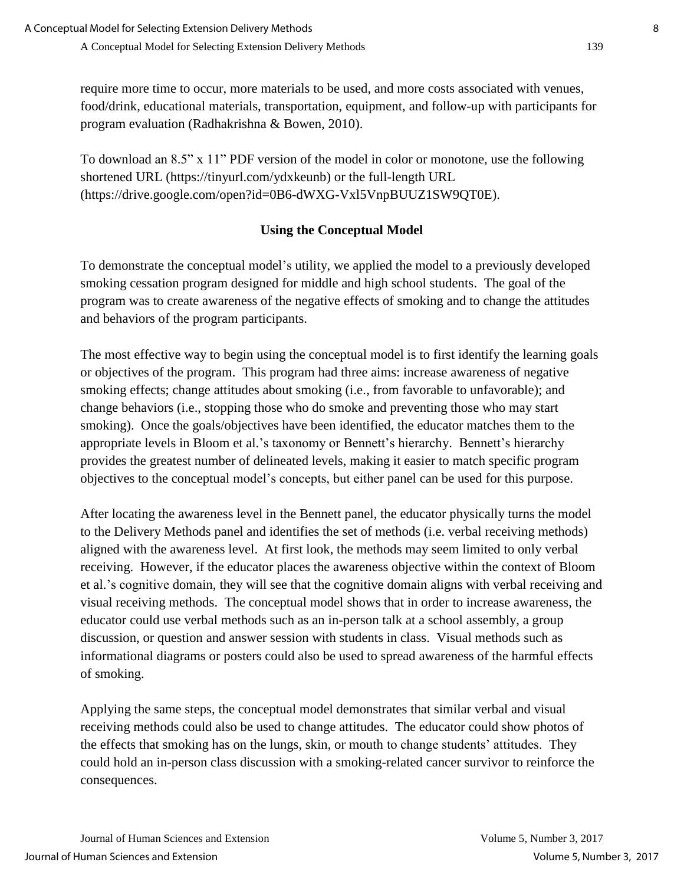require more time to occur, more materials to be used, and more costs associated with venues, food/drink, educational materials, transportation, equipment, and follow-up with participants for program evaluation (Radhakrishna & Bowen, 2010).

To download an 8.5" x 11" PDF version of the model in color or monotone, use the following shortened URL (https://tinyurl.com/ydxkeunb) or the full-length URL (https://drive.google.com/open?id=0B6-dWXG-Vxl5VnpBUUZ1SW9QT0E).

## **Using the Conceptual Model**

To demonstrate the conceptual model's utility, we applied the model to a previously developed smoking cessation program designed for middle and high school students. The goal of the program was to create awareness of the negative effects of smoking and to change the attitudes and behaviors of the program participants.

The most effective way to begin using the conceptual model is to first identify the learning goals or objectives of the program. This program had three aims: increase awareness of negative smoking effects; change attitudes about smoking (i.e., from favorable to unfavorable); and change behaviors (i.e., stopping those who do smoke and preventing those who may start smoking). Once the goals/objectives have been identified, the educator matches them to the appropriate levels in Bloom et al.'s taxonomy or Bennett's hierarchy. Bennett's hierarchy provides the greatest number of delineated levels, making it easier to match specific program objectives to the conceptual model's concepts, but either panel can be used for this purpose.

After locating the awareness level in the Bennett panel, the educator physically turns the model to the Delivery Methods panel and identifies the set of methods (i.e. verbal receiving methods) aligned with the awareness level. At first look, the methods may seem limited to only verbal receiving. However, if the educator places the awareness objective within the context of Bloom et al.'s cognitive domain, they will see that the cognitive domain aligns with verbal receiving and visual receiving methods. The conceptual model shows that in order to increase awareness, the educator could use verbal methods such as an in-person talk at a school assembly, a group discussion, or question and answer session with students in class. Visual methods such as informational diagrams or posters could also be used to spread awareness of the harmful effects of smoking.

Applying the same steps, the conceptual model demonstrates that similar verbal and visual receiving methods could also be used to change attitudes. The educator could show photos of the effects that smoking has on the lungs, skin, or mouth to change students' attitudes. They could hold an in-person class discussion with a smoking-related cancer survivor to reinforce the consequences.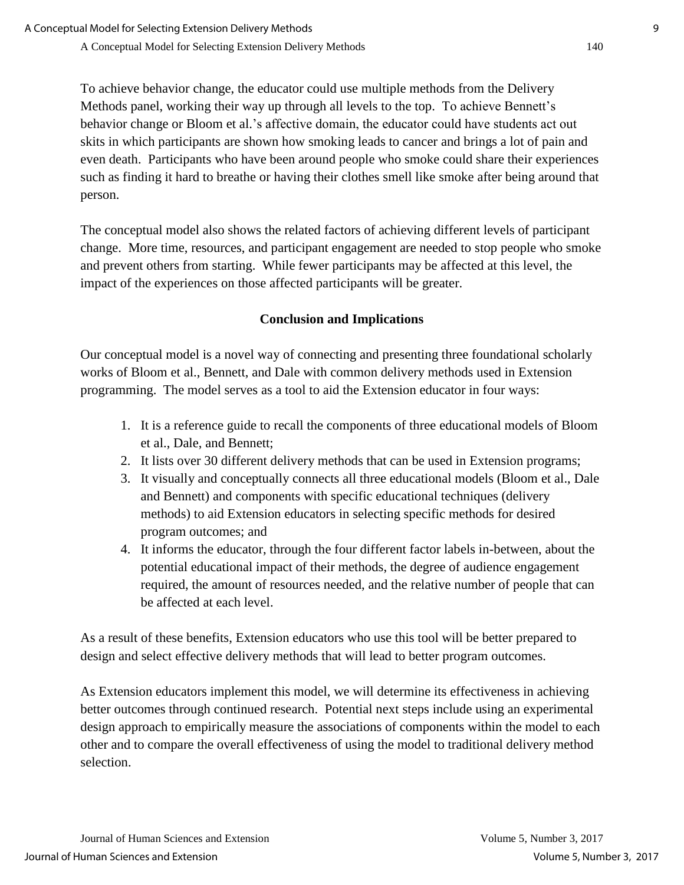To achieve behavior change, the educator could use multiple methods from the Delivery Methods panel, working their way up through all levels to the top. To achieve Bennett's behavior change or Bloom et al.'s affective domain, the educator could have students act out skits in which participants are shown how smoking leads to cancer and brings a lot of pain and even death. Participants who have been around people who smoke could share their experiences such as finding it hard to breathe or having their clothes smell like smoke after being around that person.

The conceptual model also shows the related factors of achieving different levels of participant change. More time, resources, and participant engagement are needed to stop people who smoke and prevent others from starting. While fewer participants may be affected at this level, the impact of the experiences on those affected participants will be greater.

### **Conclusion and Implications**

Our conceptual model is a novel way of connecting and presenting three foundational scholarly works of Bloom et al., Bennett, and Dale with common delivery methods used in Extension programming. The model serves as a tool to aid the Extension educator in four ways:

- 1. It is a reference guide to recall the components of three educational models of Bloom et al., Dale, and Bennett;
- 2. It lists over 30 different delivery methods that can be used in Extension programs;
- 3. It visually and conceptually connects all three educational models (Bloom et al., Dale and Bennett) and components with specific educational techniques (delivery methods) to aid Extension educators in selecting specific methods for desired program outcomes; and
- 4. It informs the educator, through the four different factor labels in-between, about the potential educational impact of their methods, the degree of audience engagement required, the amount of resources needed, and the relative number of people that can be affected at each level.

As a result of these benefits, Extension educators who use this tool will be better prepared to design and select effective delivery methods that will lead to better program outcomes.

As Extension educators implement this model, we will determine its effectiveness in achieving better outcomes through continued research. Potential next steps include using an experimental design approach to empirically measure the associations of components within the model to each other and to compare the overall effectiveness of using the model to traditional delivery method selection.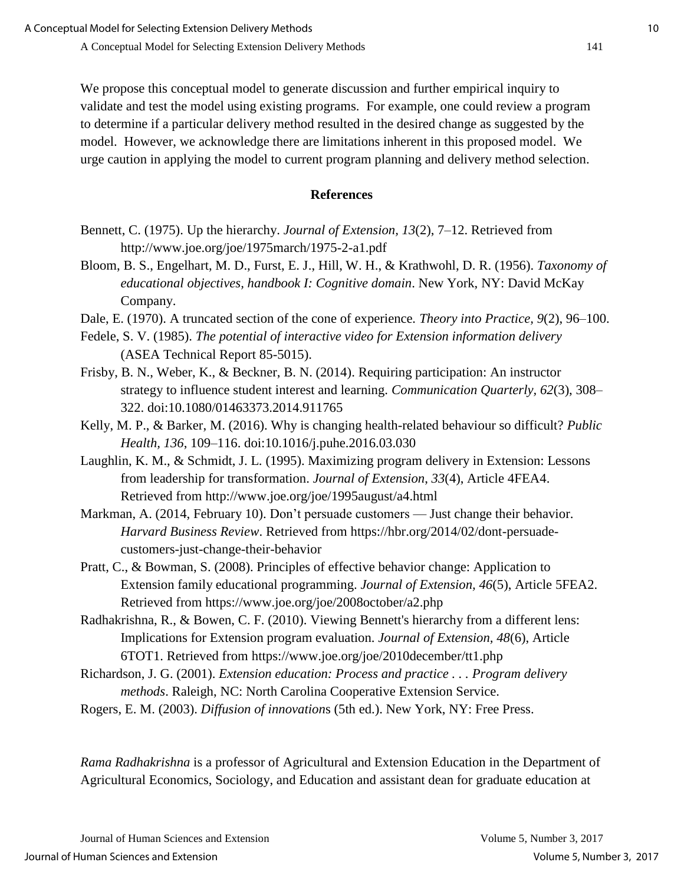We propose this conceptual model to generate discussion and further empirical inquiry to validate and test the model using existing programs. For example, one could review a program to determine if a particular delivery method resulted in the desired change as suggested by the model. However, we acknowledge there are limitations inherent in this proposed model. We urge caution in applying the model to current program planning and delivery method selection.

#### **References**

- Bennett, C. (1975). Up the hierarchy. *Journal of Extension, 13*(2), 7–12. Retrieved from http://www.joe.org/joe/1975march/1975-2-a1.pdf
- Bloom, B. S., Engelhart, M. D., Furst, E. J., Hill, W. H., & Krathwohl, D. R. (1956). *Taxonomy of educational objectives, handbook I: Cognitive domain*. New York, NY: David McKay Company.
- Dale, E. (1970). A truncated section of the cone of experience*. Theory into Practice, 9*(2), 96–100.
- Fedele, S. V. (1985). *The potential of interactive video for Extension information delivery* (ASEA Technical Report 85-5015).
- Frisby, B. N., Weber, K., & Beckner, B. N. (2014). Requiring participation: An instructor strategy to influence student interest and learning. *Communication Quarterly, 62*(3), 308– 322. doi:10.1080/01463373.2014.911765
- Kelly, M. P., & Barker, M. (2016). Why is changing health-related behaviour so difficult? *Public Health, 136*, 109–116. doi:10.1016/j.puhe.2016.03.030
- Laughlin, K. M., & Schmidt, J. L. (1995). Maximizing program delivery in Extension: Lessons from leadership for transformation. *Journal of Extension*, *33*(4), Article 4FEA4. Retrieved from http://www.joe.org/joe/1995august/a4.html
- Markman, A. (2014, February 10). Don't persuade customers Just change their behavior. *Harvard Business Review*. Retrieved from https://hbr.org/2014/02/dont-persuadecustomers-just-change-their-behavior
- Pratt, C., & Bowman, S. (2008). Principles of effective behavior change: Application to Extension family educational programming. *Journal of Extension, 46*(5), Article 5FEA2. Retrieved from https://www.joe.org/joe/2008october/a2.php
- Radhakrishna, R., & Bowen, C. F. (2010). Viewing Bennett's hierarchy from a different lens: Implications for Extension program evaluation. *Journal of Extension, 48*(6), Article 6TOT1. Retrieved from https://www.joe.org/joe/2010december/tt1.php
- Richardson, J. G. (2001). *Extension education: Process and practice . . . Program delivery methods*. Raleigh, NC: North Carolina Cooperative Extension Service.
- Rogers, E. M. (2003). *Diffusion of innovation*s (5th ed.). New York, NY: Free Press.

*Rama Radhakrishna* is a professor of Agricultural and Extension Education in the Department of Agricultural Economics, Sociology, and Education and assistant dean for graduate education at